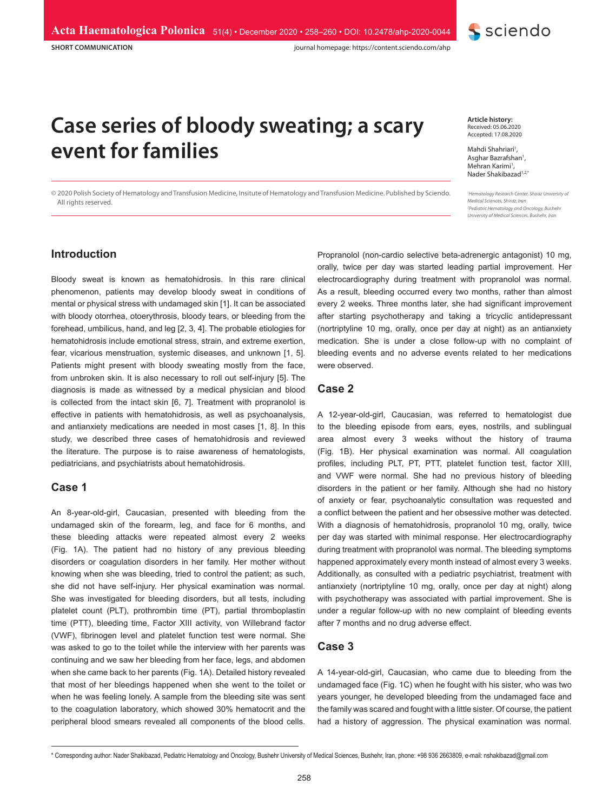**SHORT COMMUNICATION**

journal homepage: https://content.sciendo.com/ahp

# **Case series of bloody sweating; a scary event for families**

© 2020 Polish Society of Hematology and Transfusion Medicine, Insitute of Hematology and Transfusion Medicine. Published by Sciendo. All rights reserved.

#### **Article history:** Received: 05.06.2020 Accepted: 17.08.2020

sciendo

Mahdi Shahriari<sup>1</sup>, Asghar Bazrafshan<sup>1</sup>, Mehran Karimi<sup>1</sup>, Nader Shakibazad<sup>1,2,\*</sup>

*1 Hematology Research Center, Shiraz University of Medical Sciences, Shiraz, Iran Pediatric Hematology and Oncology, Bushehr University of Medical Sciences, Bushehr, Iran*

# **Introduction**

Bloody sweat is known as hematohidrosis. In this rare clinical phenomenon, patients may develop bloody sweat in conditions of mental or physical stress with undamaged skin [1]. It can be associated with bloody otorrhea, otoerythrosis, bloody tears, or bleeding from the forehead, umbilicus, hand, and leg [2, 3, 4]. The probable etiologies for hematohidrosis include emotional stress, strain, and extreme exertion, fear, vicarious menstruation, systemic diseases, and unknown [1, 5]. Patients might present with bloody sweating mostly from the face, from unbroken skin. It is also necessary to roll out self-injury [5]. The diagnosis is made as witnessed by a medical physician and blood is collected from the intact skin [6, 7]. Treatment with propranolol is effective in patients with hematohidrosis, as well as psychoanalysis, and antianxiety medications are needed in most cases [1, 8]. In this study, we described three cases of hematohidrosis and reviewed the literature. The purpose is to raise awareness of hematologists, pediatricians, and psychiatrists about hematohidrosis.

# **Case 1**

An 8-year-old-girl, Caucasian, presented with bleeding from the undamaged skin of the forearm, leg, and face for 6 months, and these bleeding attacks were repeated almost every 2 weeks (Fig. 1A). The patient had no history of any previous bleeding disorders or coagulation disorders in her family. Her mother without knowing when she was bleeding, tried to control the patient; as such, she did not have self-injury. Her physical examination was normal. She was investigated for bleeding disorders, but all tests, including platelet count (PLT), prothrombin time (PT), partial thromboplastin time (PTT), bleeding time, Factor XIII activity, von Willebrand factor (VWF), fibrinogen level and platelet function test were normal. She was asked to go to the toilet while the interview with her parents was continuing and we saw her bleeding from her face, legs, and abdomen when she came back to her parents (Fig. 1A). Detailed history revealed that most of her bleedings happened when she went to the toilet or when he was feeling lonely. A sample from the bleeding site was sent to the coagulation laboratory, which showed 30% hematocrit and the peripheral blood smears revealed all components of the blood cells.

Propranolol (non-cardio selective beta-adrenergic antagonist) 10 mg, orally, twice per day was started leading partial improvement. Her electrocardiography during treatment with propranolol was normal. As a result, bleeding occurred every two months, rather than almost every 2 weeks. Three months later, she had significant improvement after starting psychotherapy and taking a tricyclic antidepressant (nortriptyline 10 mg, orally, once per day at night) as an antianxiety medication. She is under a close follow-up with no complaint of bleeding events and no adverse events related to her medications were observed.

### **Case 2**

A 12-year-old-girl, Caucasian, was referred to hematologist due to the bleeding episode from ears, eyes, nostrils, and sublingual area almost every 3 weeks without the history of trauma (Fig. 1B). Her physical examination was normal. All coagulation profiles, including PLT, PT, PTT, platelet function test, factor XIII, and VWF were normal. She had no previous history of bleeding disorders in the patient or her family. Although she had no history of anxiety or fear, psychoanalytic consultation was requested and a conflict between the patient and her obsessive mother was detected. With a diagnosis of hematohidrosis, propranolol 10 mg, orally, twice per day was started with minimal response. Her electrocardiography during treatment with propranolol was normal. The bleeding symptoms happened approximately every month instead of almost every 3 weeks. Additionally, as consulted with a pediatric psychiatrist, treatment with antianxiety (nortriptyline 10 mg, orally, once per day at night) along with psychotherapy was associated with partial improvement. She is under a regular follow-up with no new complaint of bleeding events after 7 months and no drug adverse effect.

# **Case 3**

A 14-year-old-girl, Caucasian, who came due to bleeding from the undamaged face (Fig. 1C) when he fought with his sister, who was two years younger, he developed bleeding from the undamaged face and the family was scared and fought with a little sister. Of course, the patient had a history of aggression. The physical examination was normal.

<sup>\*</sup> Corresponding author: Nader Shakibazad, Pediatric Hematology and Oncology, Bushehr University of Medical Sciences, Bushehr, Iran, phone: +98 936 2663809, e-mail: nshakibazad@gmail.com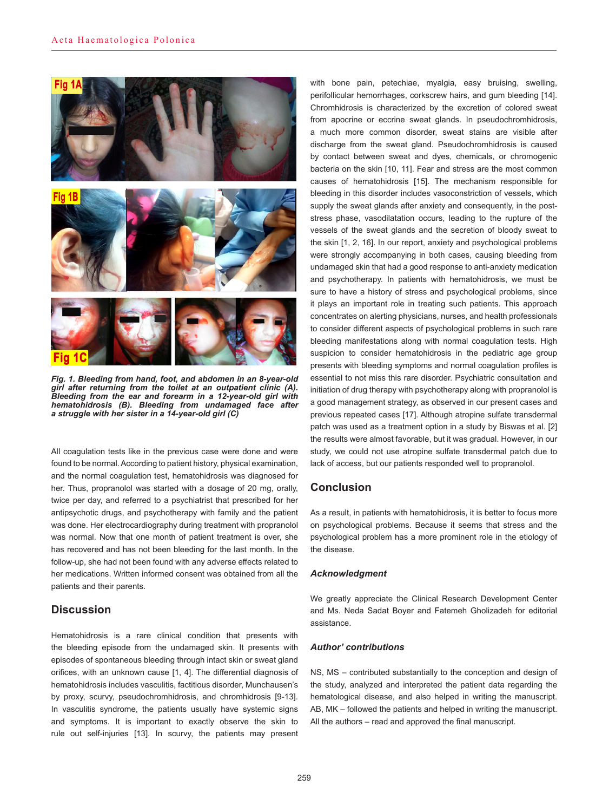

*Fig. 1. Bleeding from hand, foot, and abdomen in an 8-year-old girl after returning from the toilet at an outpatient clinic (A). Bleeding from the ear and forearm in a 12-year-old girl with hematohidrosis (B). Bleeding from undamaged face after a struggle with her sister in a 14-year-old girl (C)*

All coagulation tests like in the previous case were done and were found to be normal. According to patient history, physical examination, and the normal coagulation test, hematohidrosis was diagnosed for her. Thus, propranolol was started with a dosage of 20 mg, orally, twice per day, and referred to a psychiatrist that prescribed for her antipsychotic drugs, and psychotherapy with family and the patient was done. Her electrocardiography during treatment with propranolol was normal. Now that one month of patient treatment is over, she has recovered and has not been bleeding for the last month. In the follow-up, she had not been found with any adverse effects related to her medications. Written informed consent was obtained from all the patients and their parents.

# **Discussion**

Hematohidrosis is a rare clinical condition that presents with the bleeding episode from the undamaged skin. It presents with episodes of spontaneous bleeding through intact skin or sweat gland orifices, with an unknown cause [1, 4]. The differential diagnosis of hematohidrosis includes vasculitis, factitious disorder, Munchausen's by proxy, scurvy, pseudochromhidrosis, and chromhidrosis [9-13]. In vasculitis syndrome, the patients usually have systemic signs and symptoms. It is important to exactly observe the skin to rule out self-injuries [13]. In scurvy, the patients may present with bone pain, petechiae, myalgia, easy bruising, swelling, perifollicular hemorrhages, corkscrew hairs, and gum bleeding [14]. Chromhidrosis is characterized by the excretion of colored sweat from apocrine or eccrine sweat glands. In pseudochromhidrosis, a much more common disorder, sweat stains are visible after discharge from the sweat gland. Pseudochromhidrosis is caused by contact between sweat and dyes, chemicals, or chromogenic bacteria on the skin [10, 11]. Fear and stress are the most common causes of hematohidrosis [15]. The mechanism responsible for bleeding in this disorder includes vasoconstriction of vessels, which supply the sweat glands after anxiety and consequently, in the poststress phase, vasodilatation occurs, leading to the rupture of the vessels of the sweat glands and the secretion of bloody sweat to the skin [1, 2, 16]. In our report, anxiety and psychological problems were strongly accompanying in both cases, causing bleeding from undamaged skin that had a good response to anti-anxiety medication and psychotherapy. In patients with hematohidrosis, we must be sure to have a history of stress and psychological problems, since it plays an important role in treating such patients. This approach concentrates on alerting physicians, nurses, and health professionals to consider different aspects of psychological problems in such rare bleeding manifestations along with normal coagulation tests. High suspicion to consider hematohidrosis in the pediatric age group presents with bleeding symptoms and normal coagulation profiles is essential to not miss this rare disorder. Psychiatric consultation and initiation of drug therapy with psychotherapy along with propranolol is a good management strategy, as observed in our present cases and previous repeated cases [17]. Although atropine sulfate transdermal patch was used as a treatment option in a study by Biswas et al. [2] the results were almost favorable, but it was gradual. However, in our study, we could not use atropine sulfate transdermal patch due to lack of access, but our patients responded well to propranolol.

# **Conclusion**

As a result, in patients with hematohidrosis, it is better to focus more on psychological problems. Because it seems that stress and the psychological problem has a more prominent role in the etiology of the disease.

### *Acknowledgment*

We greatly appreciate the Clinical Research Development Center and Ms. Neda Sadat Boyer and Fatemeh Gholizadeh for editorial assistance.

## *Author' contributions*

NS, MS – contributed substantially to the conception and design of the study, analyzed and interpreted the patient data regarding the hematological disease, and also helped in writing the manuscript. AB, MK – followed the patients and helped in writing the manuscript. All the authors – read and approved the final manuscript.